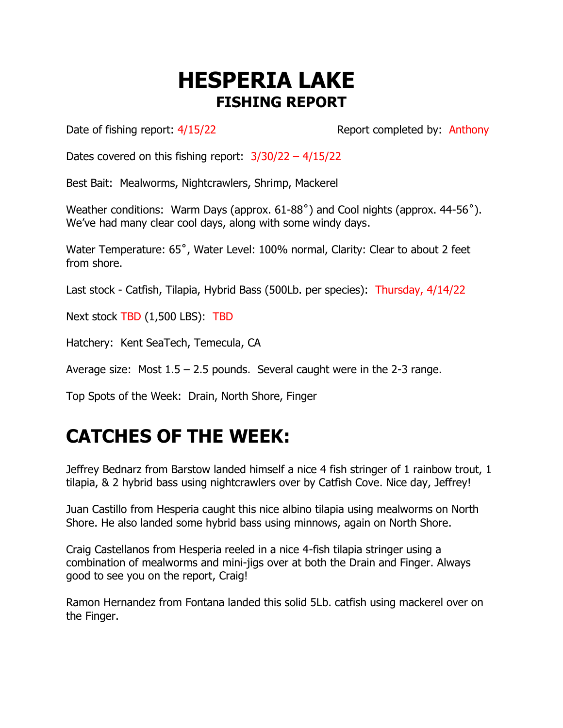## **HESPERIA LAKE FISHING REPORT**

Date of fishing report:  $4/15/22$  Report completed by: Anthony

Dates covered on this fishing report:  $3/30/22 - 4/15/22$ 

Best Bait: Mealworms, Nightcrawlers, Shrimp, Mackerel

Weather conditions: Warm Days (approx. 61-88˚) and Cool nights (approx. 44-56˚). We've had many clear cool days, along with some windy days.

Water Temperature: 65˚, Water Level: 100% normal, Clarity: Clear to about 2 feet from shore.

Last stock - Catfish, Tilapia, Hybrid Bass (500Lb. per species): Thursday, 4/14/22

Next stock TBD (1,500 LBS): TBD

Hatchery: Kent SeaTech, Temecula, CA

Average size: Most  $1.5 - 2.5$  pounds. Several caught were in the 2-3 range.

Top Spots of the Week: Drain, North Shore, Finger

## **CATCHES OF THE WEEK:**

Jeffrey Bednarz from Barstow landed himself a nice 4 fish stringer of 1 rainbow trout, 1 tilapia, & 2 hybrid bass using nightcrawlers over by Catfish Cove. Nice day, Jeffrey!

Juan Castillo from Hesperia caught this nice albino tilapia using mealworms on North Shore. He also landed some hybrid bass using minnows, again on North Shore.

Craig Castellanos from Hesperia reeled in a nice 4-fish tilapia stringer using a combination of mealworms and mini-jigs over at both the Drain and Finger. Always good to see you on the report, Craig!

Ramon Hernandez from Fontana landed this solid 5Lb. catfish using mackerel over on the Finger.